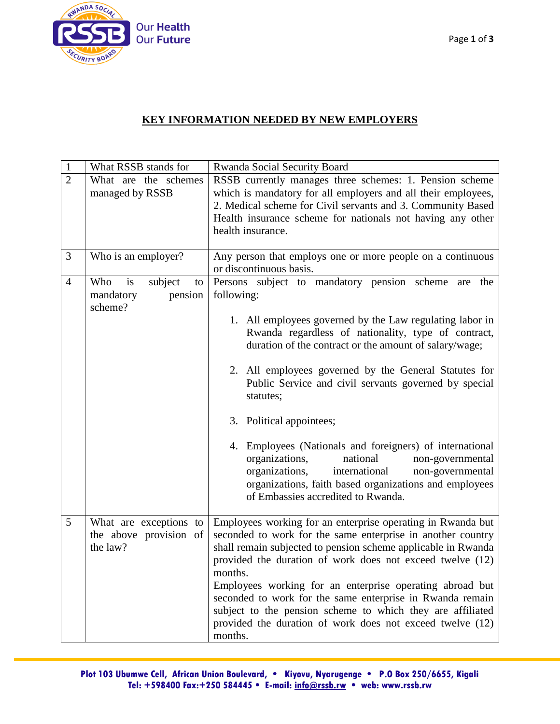

## **KEY INFORMATION NEEDED BY NEW EMPLOYERS**

| $\mathbf{1}$   | What RSSB stands for                                          | Rwanda Social Security Board                                                                                                                                                                                                                                                                                                                                                                                                                                                                                                                                                                                                                                                         |
|----------------|---------------------------------------------------------------|--------------------------------------------------------------------------------------------------------------------------------------------------------------------------------------------------------------------------------------------------------------------------------------------------------------------------------------------------------------------------------------------------------------------------------------------------------------------------------------------------------------------------------------------------------------------------------------------------------------------------------------------------------------------------------------|
| $\overline{2}$ | What are the schemes<br>managed by RSSB                       | RSSB currently manages three schemes: 1. Pension scheme<br>which is mandatory for all employers and all their employees,<br>2. Medical scheme for Civil servants and 3. Community Based<br>Health insurance scheme for nationals not having any other<br>health insurance.                                                                                                                                                                                                                                                                                                                                                                                                           |
| 3              | Who is an employer?                                           | Any person that employs one or more people on a continuous<br>or discontinuous basis.                                                                                                                                                                                                                                                                                                                                                                                                                                                                                                                                                                                                |
| $\overline{4}$ | is<br>subject<br>Who<br>to<br>pension<br>mandatory<br>scheme? | Persons subject to mandatory pension scheme<br>the<br>are<br>following:<br>1. All employees governed by the Law regulating labor in<br>Rwanda regardless of nationality, type of contract,<br>duration of the contract or the amount of salary/wage;<br>2. All employees governed by the General Statutes for<br>Public Service and civil servants governed by special<br>statutes;<br>3. Political appointees;<br>4. Employees (Nationals and foreigners) of international<br>organizations,<br>national<br>non-governmental<br>international<br>organizations,<br>non-governmental<br>organizations, faith based organizations and employees<br>of Embassies accredited to Rwanda. |
| 5              | What are exceptions to<br>the above provision of<br>the law?  | Employees working for an enterprise operating in Rwanda but<br>seconded to work for the same enterprise in another country<br>shall remain subjected to pension scheme applicable in Rwanda<br>provided the duration of work does not exceed twelve (12)<br>months.<br>Employees working for an enterprise operating abroad but<br>seconded to work for the same enterprise in Rwanda remain<br>subject to the pension scheme to which they are affiliated<br>provided the duration of work does not exceed twelve (12)<br>months.                                                                                                                                                   |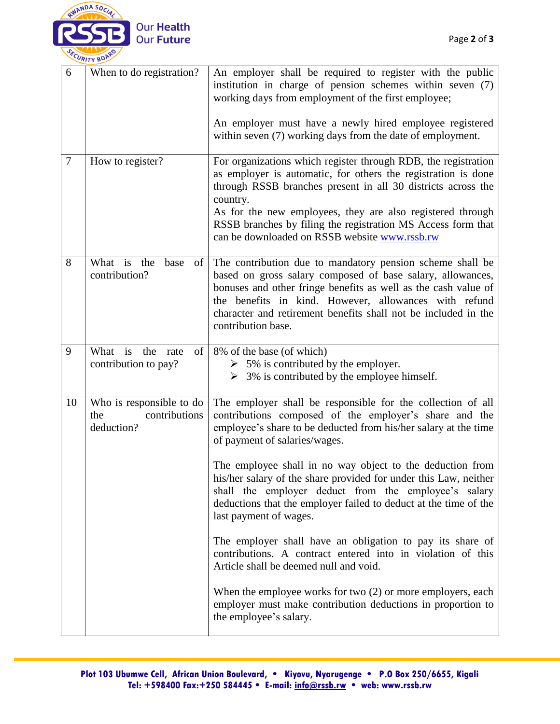

| 6              | When to do registration?                                       | An employer shall be required to register with the public<br>institution in charge of pension schemes within seven (7)<br>working days from employment of the first employee;                                                                                                                                                                                                              |
|----------------|----------------------------------------------------------------|--------------------------------------------------------------------------------------------------------------------------------------------------------------------------------------------------------------------------------------------------------------------------------------------------------------------------------------------------------------------------------------------|
|                |                                                                | An employer must have a newly hired employee registered<br>within seven (7) working days from the date of employment.                                                                                                                                                                                                                                                                      |
| $\overline{7}$ | How to register?                                               | For organizations which register through RDB, the registration<br>as employer is automatic, for others the registration is done<br>through RSSB branches present in all 30 districts across the<br>country.<br>As for the new employees, they are also registered through<br>RSSB branches by filing the registration MS Access form that<br>can be downloaded on RSSB website www.rssb.rw |
| 8              | What is the<br>base<br>of<br>contribution?                     | The contribution due to mandatory pension scheme shall be<br>based on gross salary composed of base salary, allowances,<br>bonuses and other fringe benefits as well as the cash value of<br>the benefits in kind. However, allowances with refund<br>character and retirement benefits shall not be included in the<br>contribution base.                                                 |
| 9              | What is the rate<br>of  <br>contribution to pay?               | 8% of the base (of which)<br>$\geq 5\%$ is contributed by the employer.<br>$\geq$ 3% is contributed by the employee himself.                                                                                                                                                                                                                                                               |
| 10             | Who is responsible to do<br>contributions<br>the<br>deduction? | The employer shall be responsible for the collection of all<br>contributions composed of the employer's share and the<br>employee's share to be deducted from his/her salary at the time<br>of payment of salaries/wages.                                                                                                                                                                  |
|                |                                                                | The employee shall in no way object to the deduction from<br>his/her salary of the share provided for under this Law, neither<br>shall the employer deduct from the employee's salary<br>deductions that the employer failed to deduct at the time of the<br>last payment of wages.                                                                                                        |
|                |                                                                | The employer shall have an obligation to pay its share of<br>contributions. A contract entered into in violation of this<br>Article shall be deemed null and void.                                                                                                                                                                                                                         |
|                |                                                                | When the employee works for two $(2)$ or more employers, each<br>employer must make contribution deductions in proportion to<br>the employee's salary.                                                                                                                                                                                                                                     |